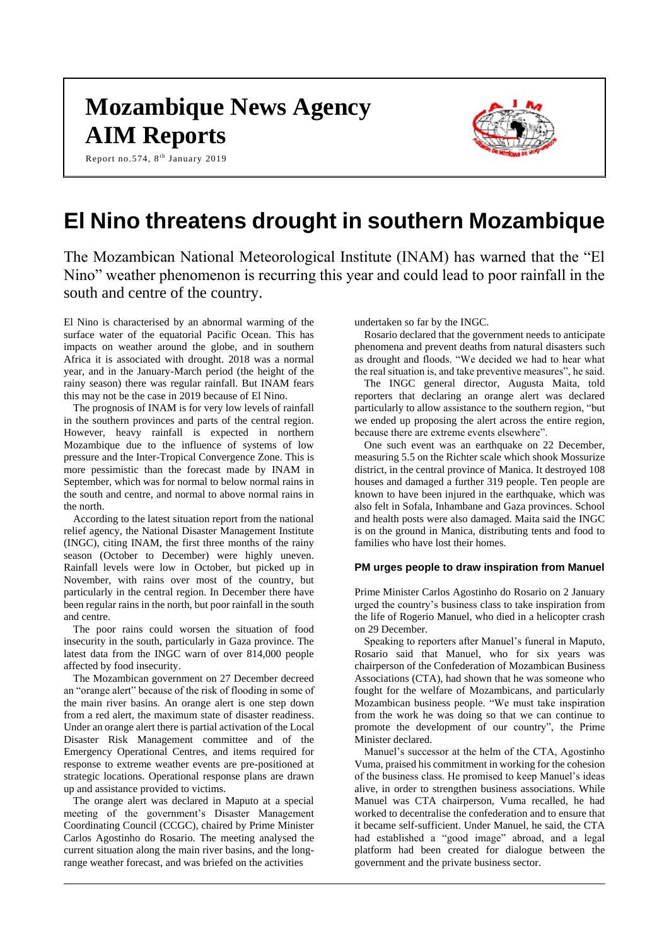# **Mozambique News Agency AIM Reports**

Report no.574, 8<sup>th</sup> January 2019



## **El Nino threatens drought in southern Mozambique**

The Mozambican National Meteorological Institute (INAM) has warned that the "El Nino" weather phenomenon is recurring this year and could lead to poor rainfall in the south and centre of the country.

El Nino is characterised by an abnormal warming of the surface water of the equatorial Pacific Ocean. This has impacts on weather around the globe, and in southern Africa it is associated with drought. 2018 was a normal year, and in the January-March period (the height of the rainy season) there was regular rainfall. But INAM fears this may not be the case in 2019 because of El Nino.

The prognosis of INAM is for very low levels of rainfall in the southern provinces and parts of the central region. However, heavy rainfall is expected in northern Mozambique due to the influence of systems of low pressure and the Inter-Tropical Convergence Zone. This is more pessimistic than the forecast made by INAM in September, which was for normal to below normal rains in the south and centre, and normal to above normal rains in the north.

According to the latest situation report from the national relief agency, the National Disaster Management Institute (INGC), citing INAM, the first three months of the rainy season (October to December) were highly uneven. Rainfall levels were low in October, but picked up in November, with rains over most of the country, but particularly in the central region. In December there have been regular rains in the north, but poor rainfall in the south and centre.

The poor rains could worsen the situation of food insecurity in the south, particularly in Gaza province. The latest data from the INGC warn of over 814,000 people affected by food insecurity.

The Mozambican government on 27 December decreed an "orange alert" because of the risk of flooding in some of the main river basins. An orange alert is one step down from a red alert, the maximum state of disaster readiness. Under an orange alert there is partial activation of the Local Disaster Risk Management committee and of the Emergency Operational Centres, and items required for response to extreme weather events are pre-positioned at strategic locations. Operational response plans are drawn up and assistance provided to victims.

The orange alert was declared in Maputo at a special meeting of the government's Disaster Management Coordinating Council (CCGC), chaired by Prime Minister Carlos Agostinho do Rosario. The meeting analysed the current situation along the main river basins, and the longrange weather forecast, and was briefed on the activities

undertaken so far by the INGC.

Rosario declared that the government needs to anticipate phenomena and prevent deaths from natural disasters such as drought and floods. "We decided we had to hear what the real situation is, and take preventive measures", he said.

The INGC general director, Augusta Maita, told reporters that declaring an orange alert was declared particularly to allow assistance to the southern region, "but we ended up proposing the alert across the entire region, because there are extreme events elsewhere".

One such event was an earthquake on 22 December, measuring 5.5 on the Richter scale which shook Mossurize district, in the central province of Manica. It destroyed 108 houses and damaged a further 319 people. Ten people are known to have been injured in the earthquake, which was also felt in Sofala, Inhambane and Gaza provinces. School and health posts were also damaged. Maita said the INGC is on the ground in Manica, distributing tents and food to families who have lost their homes.

## **PM urges people to draw inspiration from Manuel**

Prime Minister Carlos Agostinho do Rosario on 2 January urged the country's business class to take inspiration from the life of Rogerio Manuel, who died in a helicopter crash on 29 December.

Speaking to reporters after Manuel's funeral in Maputo, Rosario said that Manuel, who for six years was chairperson of the Confederation of Mozambican Business Associations (CTA), had shown that he was someone who fought for the welfare of Mozambicans, and particularly Mozambican business people. "We must take inspiration from the work he was doing so that we can continue to promote the development of our country", the Prime Minister declared.

Manuel's successor at the helm of the CTA, Agostinho Vuma, praised his commitment in working for the cohesion of the business class. He promised to keep Manuel's ideas alive, in order to strengthen business associations. While Manuel was CTA chairperson, Vuma recalled, he had worked to decentralise the confederation and to ensure that it became self-sufficient. Under Manuel, he said, the CTA had established a "good image" abroad, and a legal platform had been created for dialogue between the government and the private business sector.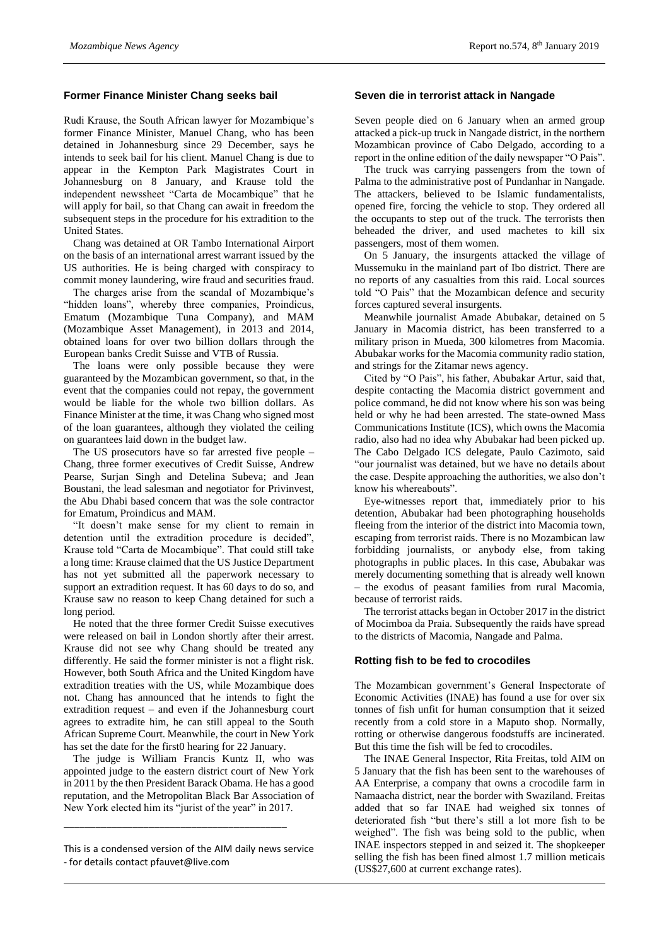## **Former Finance Minister Chang seeks bail**

Rudi Krause, the South African lawyer for Mozambique's former Finance Minister, Manuel Chang, who has been detained in Johannesburg since 29 December, says he intends to seek bail for his client. Manuel Chang is due to appear in the Kempton Park Magistrates Court in Johannesburg on 8 January, and Krause told the independent newssheet "Carta de Mocambique" that he will apply for bail, so that Chang can await in freedom the subsequent steps in the procedure for his extradition to the United States.

Chang was detained at OR Tambo International Airport on the basis of an international arrest warrant issued by the US authorities. He is being charged with conspiracy to commit money laundering, wire fraud and securities fraud.

The charges arise from the scandal of Mozambique's "hidden loans", whereby three companies, Proindicus, Ematum (Mozambique Tuna Company), and MAM (Mozambique Asset Management), in 2013 and 2014, obtained loans for over two billion dollars through the European banks Credit Suisse and VTB of Russia.

The loans were only possible because they were guaranteed by the Mozambican government, so that, in the event that the companies could not repay, the government would be liable for the whole two billion dollars. As Finance Minister at the time, it was Chang who signed most of the loan guarantees, although they violated the ceiling on guarantees laid down in the budget law.

The US prosecutors have so far arrested five people – Chang, three former executives of Credit Suisse, Andrew Pearse, Surjan Singh and Detelina Subeva; and Jean Boustani, the lead salesman and negotiator for Privinvest, the Abu Dhabi based concern that was the sole contractor for Ematum, Proindicus and MAM.

"It doesn't make sense for my client to remain in detention until the extradition procedure is decided", Krause told "Carta de Mocambique". That could still take a long time: Krause claimed that the US Justice Department has not yet submitted all the paperwork necessary to support an extradition request. It has 60 days to do so, and Krause saw no reason to keep Chang detained for such a long period.

He noted that the three former Credit Suisse executives were released on bail in London shortly after their arrest. Krause did not see why Chang should be treated any differently. He said the former minister is not a flight risk. However, both South Africa and the United Kingdom have extradition treaties with the US, while Mozambique does not. Chang has announced that he intends to fight the extradition request – and even if the Johannesburg court agrees to extradite him, he can still appeal to the South African Supreme Court. Meanwhile, the court in New York has set the date for the first0 hearing for 22 January.

The judge is William Francis Kuntz II, who was appointed judge to the eastern district court of New York in 2011 by the then President Barack Obama. He has a good reputation, and the Metropolitan Black Bar Association of New York elected him its "jurist of the year" in 2017.

\_\_\_\_\_\_\_\_\_\_\_\_\_\_\_\_\_\_\_\_\_\_\_\_\_\_\_\_\_\_\_\_\_\_\_\_\_\_\_\_\_\_

## **Seven die in terrorist attack in Nangade**

Seven people died on 6 January when an armed group attacked a pick-up truck in Nangade district, in the northern Mozambican province of Cabo Delgado, according to a report in the online edition of the daily newspaper "O Pais".

The truck was carrying passengers from the town of Palma to the administrative post of Pundanhar in Nangade. The attackers, believed to be Islamic fundamentalists, opened fire, forcing the vehicle to stop. They ordered all the occupants to step out of the truck. The terrorists then beheaded the driver, and used machetes to kill six passengers, most of them women.

On 5 January, the insurgents attacked the village of Mussemuku in the mainland part of Ibo district. There are no reports of any casualties from this raid. Local sources told "O Pais" that the Mozambican defence and security forces captured several insurgents.

Meanwhile journalist Amade Abubakar, detained on 5 January in Macomia district, has been transferred to a military prison in Mueda, 300 kilometres from Macomia. Abubakar works for the Macomia community radio station, and strings for the Zitamar news agency.

Cited by "O Pais", his father, Abubakar Artur, said that, despite contacting the Macomia district government and police command, he did not know where his son was being held or why he had been arrested. The state-owned Mass Communications Institute (ICS), which owns the Macomia radio, also had no idea why Abubakar had been picked up. The Cabo Delgado ICS delegate, Paulo Cazimoto, said "our journalist was detained, but we have no details about the case. Despite approaching the authorities, we also don't know his whereabouts".

Eye-witnesses report that, immediately prior to his detention, Abubakar had been photographing households fleeing from the interior of the district into Macomia town, escaping from terrorist raids. There is no Mozambican law forbidding journalists, or anybody else, from taking photographs in public places. In this case, Abubakar was merely documenting something that is already well known – the exodus of peasant families from rural Macomia, because of terrorist raids.

The terrorist attacks began in October 2017 in the district of Mocimboa da Praia. Subsequently the raids have spread to the districts of Macomia, Nangade and Palma.

## **Rotting fish to be fed to crocodiles**

The Mozambican government's General Inspectorate of Economic Activities (INAE) has found a use for over six tonnes of fish unfit for human consumption that it seized recently from a cold store in a Maputo shop. Normally, rotting or otherwise dangerous foodstuffs are incinerated. But this time the fish will be fed to crocodiles.

The INAE General Inspector, Rita Freitas, told AIM on 5 January that the fish has been sent to the warehouses of AA Enterprise, a company that owns a crocodile farm in Namaacha district, near the border with Swaziland. Freitas added that so far INAE had weighed six tonnes of deteriorated fish "but there's still a lot more fish to be weighed". The fish was being sold to the public, when INAE inspectors stepped in and seized it. The shopkeeper selling the fish has been fined almost 1.7 million meticais (US\$27,600 at current exchange rates).

This is a condensed version of the AIM daily news service - for details contact pfauvet@live.com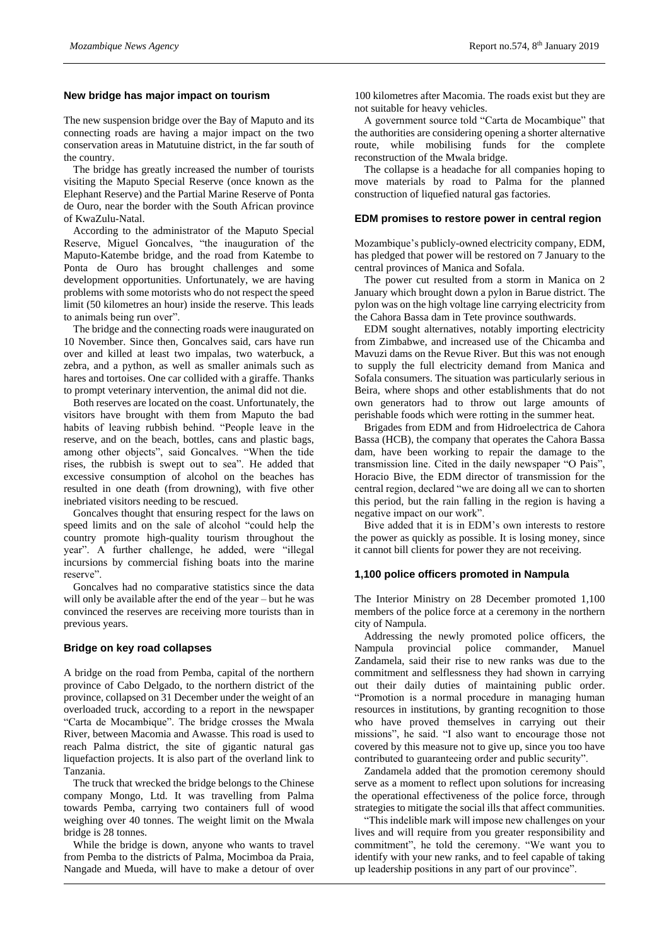#### **New bridge has major impact on tourism**

The new suspension bridge over the Bay of Maputo and its connecting roads are having a major impact on the two conservation areas in Matutuine district, in the far south of the country.

The bridge has greatly increased the number of tourists visiting the Maputo Special Reserve (once known as the Elephant Reserve) and the Partial Marine Reserve of Ponta de Ouro, near the border with the South African province of KwaZulu-Natal.

According to the administrator of the Maputo Special Reserve, Miguel Goncalves, "the inauguration of the Maputo-Katembe bridge, and the road from Katembe to Ponta de Ouro has brought challenges and some development opportunities. Unfortunately, we are having problems with some motorists who do not respect the speed limit (50 kilometres an hour) inside the reserve. This leads to animals being run over".

The bridge and the connecting roads were inaugurated on 10 November. Since then, Goncalves said, cars have run over and killed at least two impalas, two waterbuck, a zebra, and a python, as well as smaller animals such as hares and tortoises. One car collided with a giraffe. Thanks to prompt veterinary intervention, the animal did not die.

Both reserves are located on the coast. Unfortunately, the visitors have brought with them from Maputo the bad habits of leaving rubbish behind. "People leave in the reserve, and on the beach, bottles, cans and plastic bags, among other objects", said Goncalves. "When the tide rises, the rubbish is swept out to sea". He added that excessive consumption of alcohol on the beaches has resulted in one death (from drowning), with five other inebriated visitors needing to be rescued.

Goncalves thought that ensuring respect for the laws on speed limits and on the sale of alcohol "could help the country promote high-quality tourism throughout the year". A further challenge, he added, were "illegal incursions by commercial fishing boats into the marine reserve".

Goncalves had no comparative statistics since the data will only be available after the end of the year – but he was convinced the reserves are receiving more tourists than in previous years.

#### **Bridge on key road collapses**

A bridge on the road from Pemba, capital of the northern province of Cabo Delgado, to the northern district of the province, collapsed on 31 December under the weight of an overloaded truck, according to a report in the newspaper "Carta de Mocambique". The bridge crosses the Mwala River, between Macomia and Awasse. This road is used to reach Palma district, the site of gigantic natural gas liquefaction projects. It is also part of the overland link to Tanzania.

The truck that wrecked the bridge belongs to the Chinese company Mongo, Ltd. It was travelling from Palma towards Pemba, carrying two containers full of wood weighing over 40 tonnes. The weight limit on the Mwala bridge is 28 tonnes.

While the bridge is down, anyone who wants to travel from Pemba to the districts of Palma, Mocimboa da Praia, Nangade and Mueda, will have to make a detour of over

100 kilometres after Macomia. The roads exist but they are not suitable for heavy vehicles.

A government source told "Carta de Mocambique" that the authorities are considering opening a shorter alternative route, while mobilising funds for the complete reconstruction of the Mwala bridge.

The collapse is a headache for all companies hoping to move materials by road to Palma for the planned construction of liquefied natural gas factories.

#### **EDM promises to restore power in central region**

Mozambique's publicly-owned electricity company, EDM, has pledged that power will be restored on 7 January to the central provinces of Manica and Sofala.

The power cut resulted from a storm in Manica on 2 January which brought down a pylon in Barue district. The pylon was on the high voltage line carrying electricity from the Cahora Bassa dam in Tete province southwards.

EDM sought alternatives, notably importing electricity from Zimbabwe, and increased use of the Chicamba and Mavuzi dams on the Revue River. But this was not enough to supply the full electricity demand from Manica and Sofala consumers. The situation was particularly serious in Beira, where shops and other establishments that do not own generators had to throw out large amounts of perishable foods which were rotting in the summer heat.

Brigades from EDM and from Hidroelectrica de Cahora Bassa (HCB), the company that operates the Cahora Bassa dam, have been working to repair the damage to the transmission line. Cited in the daily newspaper "O Pais", Horacio Bive, the EDM director of transmission for the central region, declared "we are doing all we can to shorten this period, but the rain falling in the region is having a negative impact on our work".

Bive added that it is in EDM's own interests to restore the power as quickly as possible. It is losing money, since it cannot bill clients for power they are not receiving.

#### **1,100 police officers promoted in Nampula**

The Interior Ministry on 28 December promoted 1,100 members of the police force at a ceremony in the northern city of Nampula.

Addressing the newly promoted police officers, the Nampula provincial police commander, Manuel Zandamela, said their rise to new ranks was due to the commitment and selflessness they had shown in carrying out their daily duties of maintaining public order. "Promotion is a normal procedure in managing human resources in institutions, by granting recognition to those who have proved themselves in carrying out their missions", he said. "I also want to encourage those not covered by this measure not to give up, since you too have contributed to guaranteeing order and public security".

Zandamela added that the promotion ceremony should serve as a moment to reflect upon solutions for increasing the operational effectiveness of the police force, through strategies to mitigate the social ills that affect communities.

"This indelible mark will impose new challenges on your lives and will require from you greater responsibility and commitment", he told the ceremony. "We want you to identify with your new ranks, and to feel capable of taking up leadership positions in any part of our province".